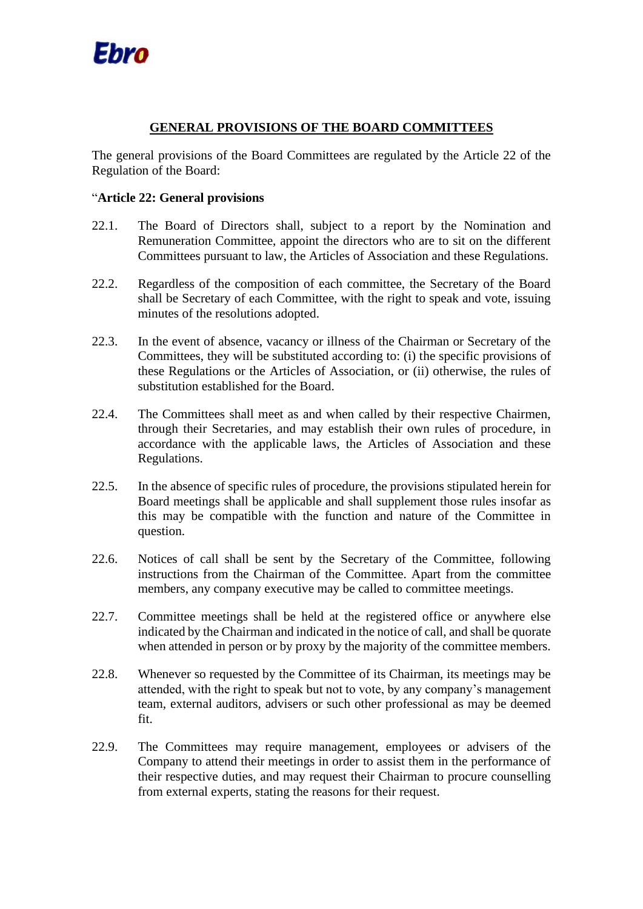

## **GENERAL PROVISIONS OF THE BOARD COMMITTEES**

The general provisions of the Board Committees are regulated by the Article 22 of the Regulation of the Board:

## "**Article 22: General provisions**

- 22.1. The Board of Directors shall, subject to a report by the Nomination and Remuneration Committee, appoint the directors who are to sit on the different Committees pursuant to law, the Articles of Association and these Regulations.
- 22.2. Regardless of the composition of each committee, the Secretary of the Board shall be Secretary of each Committee, with the right to speak and vote, issuing minutes of the resolutions adopted.
- 22.3. In the event of absence, vacancy or illness of the Chairman or Secretary of the Committees, they will be substituted according to: (i) the specific provisions of these Regulations or the Articles of Association, or (ii) otherwise, the rules of substitution established for the Board.
- 22.4. The Committees shall meet as and when called by their respective Chairmen, through their Secretaries, and may establish their own rules of procedure, in accordance with the applicable laws, the Articles of Association and these Regulations.
- 22.5. In the absence of specific rules of procedure, the provisions stipulated herein for Board meetings shall be applicable and shall supplement those rules insofar as this may be compatible with the function and nature of the Committee in question.
- 22.6. Notices of call shall be sent by the Secretary of the Committee, following instructions from the Chairman of the Committee. Apart from the committee members, any company executive may be called to committee meetings.
- 22.7. Committee meetings shall be held at the registered office or anywhere else indicated by the Chairman and indicated in the notice of call, and shall be quorate when attended in person or by proxy by the majority of the committee members.
- 22.8. Whenever so requested by the Committee of its Chairman, its meetings may be attended, with the right to speak but not to vote, by any company's management team, external auditors, advisers or such other professional as may be deemed fit.
- 22.9. The Committees may require management, employees or advisers of the Company to attend their meetings in order to assist them in the performance of their respective duties, and may request their Chairman to procure counselling from external experts, stating the reasons for their request.